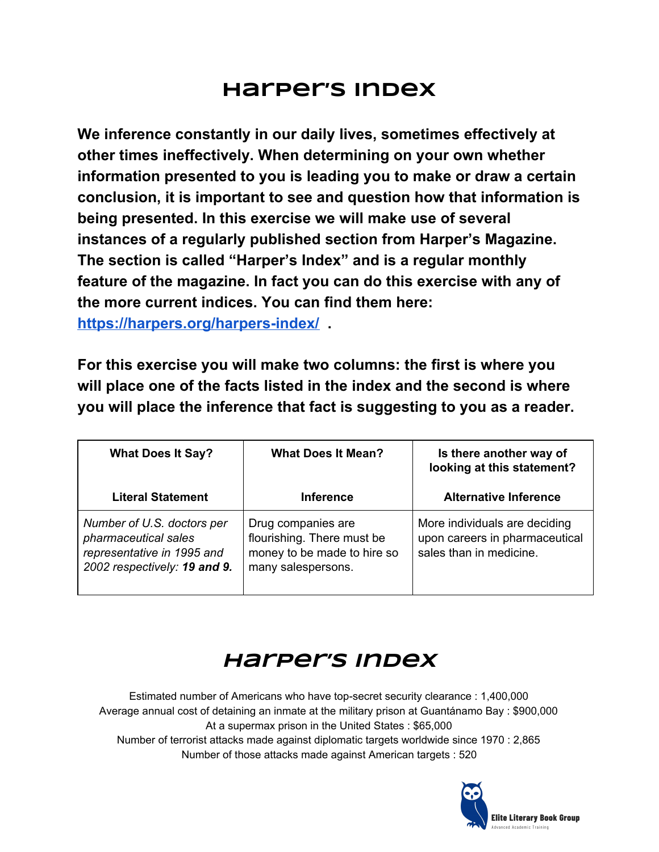## **Harper's Index**

**We inference constantly in our daily lives, sometimes effectively at other times ineffectively. When determining on your own whether information presented to you is leading you to make or draw a certain conclusion, it is important to see and question how that information is being presented. In this exercise we will make use of several instances of a regularly published section from Harper's Magazine. The section is called "Harper's Index" and is a regular monthly feature of the magazine. In fact you can do this exercise with any of the more current indices. You can find them here: <https://harpers.org/harpers-index/> .**

**For this exercise you will make two columns: the first is where you will place one of the facts listed in the index and the second is where you will place the inference that fact is suggesting to you as a reader.**

| <b>What Does It Say?</b>                                                                                         | <b>What Does It Mean?</b>                                                                             | Is there another way of<br>looking at this statement?                                      |
|------------------------------------------------------------------------------------------------------------------|-------------------------------------------------------------------------------------------------------|--------------------------------------------------------------------------------------------|
| <b>Literal Statement</b>                                                                                         | <b>Inference</b>                                                                                      | <b>Alternative Inference</b>                                                               |
| Number of U.S. doctors per<br>pharmaceutical sales<br>representative in 1995 and<br>2002 respectively: 19 and 9. | Drug companies are<br>flourishing. There must be<br>money to be made to hire so<br>many salespersons. | More individuals are deciding<br>upon careers in pharmaceutical<br>sales than in medicine. |

## **Harper's Index**

Estimated number of Americans who have top-secret security clearance : 1,400,000 Average annual cost of detaining an inmate at the military prison at Guantánamo Bay : \$900,000 At a supermax prison in the United States : \$65,000 Number of terrorist attacks made against diplomatic targets worldwide since 1970 : 2,865 Number of those attacks made against American targets : 520

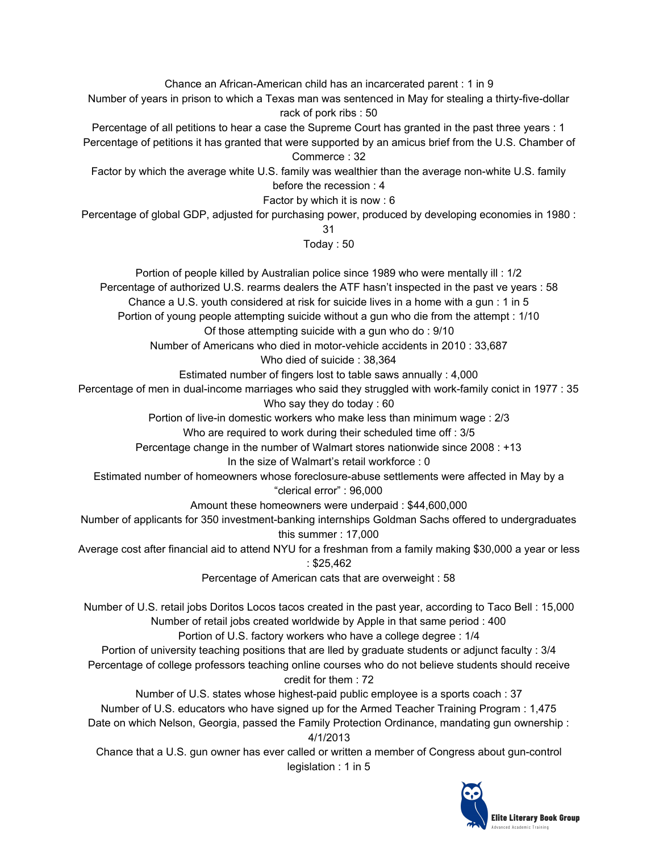Chance an African-American child has an incarcerated parent : 1 in 9 Number of years in prison to which a Texas man was sentenced in May for stealing a thirty-five-dollar rack of pork ribs : 50

Percentage of all petitions to hear a case the Supreme Court has granted in the past three years : 1 Percentage of petitions it has granted that were supported by an amicus brief from the U.S. Chamber of Commerce : 32

Factor by which the average white U.S. family was wealthier than the average non-white U.S. family before the recession : 4

Factor by which it is now : 6

Percentage of global GDP, adjusted for purchasing power, produced by developing economies in 1980 :

31

Today : 50

Portion of people killed by Australian police since 1989 who were mentally ill : 1/2 Percentage of authorized U.S. rearms dealers the ATF hasn't inspected in the past ve years : 58

Chance a U.S. youth considered at risk for suicide lives in a home with a gun : 1 in 5

Portion of young people attempting suicide without a gun who die from the attempt : 1/10

Of those attempting suicide with a gun who do : 9/10

Number of Americans who died in motor-vehicle accidents in 2010 : 33,687

Who died of suicide : 38,364

Estimated number of fingers lost to table saws annually : 4,000

Percentage of men in dual-income marriages who said they struggled with work-family conict in 1977 : 35 Who say they do today : 60

Portion of live-in domestic workers who make less than minimum wage : 2/3

Who are required to work during their scheduled time off : 3/5

Percentage change in the number of Walmart stores nationwide since 2008 : +13

In the size of Walmart's retail workforce : 0

Estimated number of homeowners whose foreclosure-abuse settlements were affected in May by a "clerical error" : 96,000

Amount these homeowners were underpaid : \$44,600,000

Number of applicants for 350 investment-banking internships Goldman Sachs offered to undergraduates this summer : 17,000

Average cost after financial aid to attend NYU for a freshman from a family making \$30,000 a year or less : \$25,462

Percentage of American cats that are overweight : 58

Number of U.S. retail jobs Doritos Locos tacos created in the past year, according to Taco Bell : 15,000 Number of retail jobs created worldwide by Apple in that same period : 400

Portion of U.S. factory workers who have a college degree : 1/4

Portion of university teaching positions that are lled by graduate students or adjunct faculty : 3/4 Percentage of college professors teaching online courses who do not believe students should receive credit for them : 72

Number of U.S. states whose highest-paid public employee is a sports coach : 37 Number of U.S. educators who have signed up for the Armed Teacher Training Program : 1,475 Date on which Nelson, Georgia, passed the Family Protection Ordinance, mandating gun ownership : 4/1/2013

Chance that a U.S. gun owner has ever called or written a member of Congress about gun-control legislation : 1 in 5

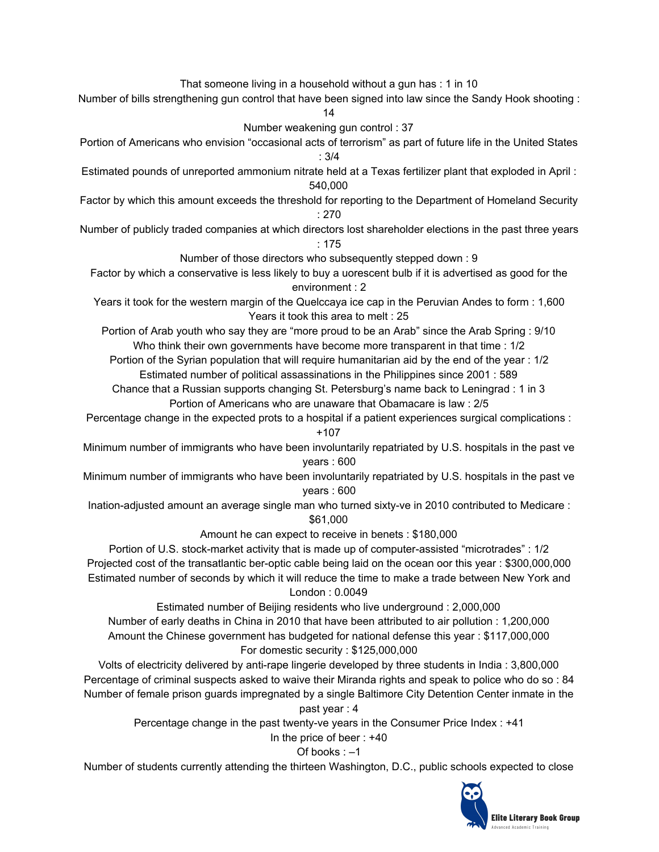That someone living in a household without a gun has : 1 in 10

Number of bills strengthening gun control that have been signed into law since the Sandy Hook shooting :

14

Number weakening gun control : 37

- Portion of Americans who envision "occasional acts of terrorism" as part of future life in the United States : 3/4
- Estimated pounds of unreported ammonium nitrate held at a Texas fertilizer plant that exploded in April : 540,000
- Factor by which this amount exceeds the threshold for reporting to the Department of Homeland Security : 270
- Number of publicly traded companies at which directors lost shareholder elections in the past three years : 175

Number of those directors who subsequently stepped down : 9

- Factor by which a conservative is less likely to buy a uorescent bulb if it is advertised as good for the environment : 2
- Years it took for the western margin of the Quelccaya ice cap in the Peruvian Andes to form : 1,600 Years it took this area to melt : 25

Portion of Arab youth who say they are "more proud to be an Arab" since the Arab Spring : 9/10 Who think their own governments have become more transparent in that time : 1/2

Portion of the Syrian population that will require humanitarian aid by the end of the year : 1/2 Estimated number of political assassinations in the Philippines since 2001 : 589

Chance that a Russian supports changing St. Petersburg's name back to Leningrad : 1 in 3 Portion of Americans who are unaware that Obamacare is law : 2/5

Percentage change in the expected prots to a hospital if a patient experiences surgical complications : +107

Minimum number of immigrants who have been involuntarily repatriated by U.S. hospitals in the past ve years : 600

Minimum number of immigrants who have been involuntarily repatriated by U.S. hospitals in the past ve years : 600

Ination-adjusted amount an average single man who turned sixty-ve in 2010 contributed to Medicare : \$61,000

Amount he can expect to receive in benets : \$180,000

Portion of U.S. stock-market activity that is made up of computer-assisted "microtrades" : 1/2 Projected cost of the transatlantic ber-optic cable being laid on the ocean oor this year : \$300,000,000 Estimated number of seconds by which it will reduce the time to make a trade between New York and

London : 0.0049

Estimated number of Beijing residents who live underground : 2,000,000

Number of early deaths in China in 2010 that have been attributed to air pollution : 1,200,000 Amount the Chinese government has budgeted for national defense this year : \$117,000,000 For domestic security : \$125,000,000

Volts of electricity delivered by anti-rape lingerie developed by three students in India : 3,800,000 Percentage of criminal suspects asked to waive their Miranda rights and speak to police who do so : 84 Number of female prison guards impregnated by a single Baltimore City Detention Center inmate in the past year : 4

Percentage change in the past twenty-ve years in the Consumer Price Index : +41

In the price of beer : +40

### Of books : –1

Number of students currently attending the thirteen Washington, D.C., public schools expected to close

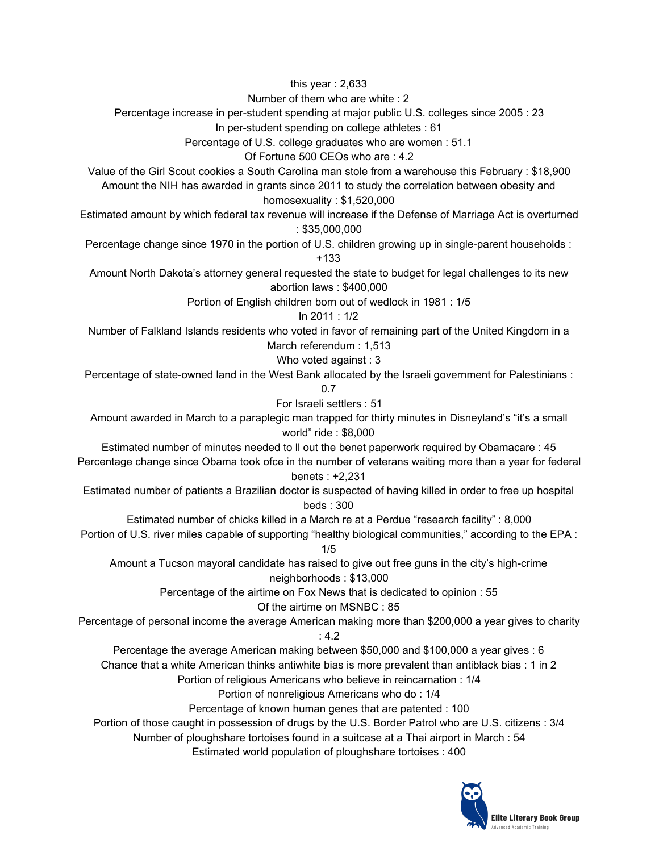this year : 2,633

Number of them who are white : 2

Percentage increase in per-student spending at major public U.S. colleges since 2005 : 23

In per-student spending on college athletes : 61

Percentage of U.S. college graduates who are women : 51.1

Of Fortune 500 CEOs who are : 4.2

Value of the Girl Scout cookies a South Carolina man stole from a warehouse this February : \$18,900 Amount the NIH has awarded in grants since 2011 to study the correlation between obesity and homosexuality : \$1,520,000

Estimated amount by which federal tax revenue will increase if the Defense of Marriage Act is overturned : \$35,000,000

Percentage change since 1970 in the portion of U.S. children growing up in single-parent households :

+133

Amount North Dakota's attorney general requested the state to budget for legal challenges to its new abortion laws : \$400,000

Portion of English children born out of wedlock in 1981 : 1/5

In 2011 : 1/2

Number of Falkland Islands residents who voted in favor of remaining part of the United Kingdom in a March referendum : 1,513

Who voted against : 3

Percentage of state-owned land in the West Bank allocated by the Israeli government for Palestinians :

0.7

For Israeli settlers : 51

Amount awarded in March to a paraplegic man trapped for thirty minutes in Disneyland's "it's a small world" ride : \$8,000

Estimated number of minutes needed to ll out the benet paperwork required by Obamacare : 45 Percentage change since Obama took ofce in the number of veterans waiting more than a year for federal

### benets : +2,231

Estimated number of patients a Brazilian doctor is suspected of having killed in order to free up hospital beds : 300

Estimated number of chicks killed in a March re at a Perdue "research facility" : 8,000

Portion of U.S. river miles capable of supporting "healthy biological communities," according to the EPA : 1/5

Amount a Tucson mayoral candidate has raised to give out free guns in the city's high-crime neighborhoods : \$13,000

> Percentage of the airtime on Fox News that is dedicated to opinion : 55 Of the airtime on MSNBC : 85

Percentage of personal income the average American making more than \$200,000 a year gives to charity : 4.2

Percentage the average American making between \$50,000 and \$100,000 a year gives : 6

Chance that a white American thinks antiwhite bias is more prevalent than antiblack bias : 1 in 2

Portion of religious Americans who believe in reincarnation : 1/4

Portion of nonreligious Americans who do : 1/4

Percentage of known human genes that are patented : 100

Portion of those caught in possession of drugs by the U.S. Border Patrol who are U.S. citizens : 3/4

Number of ploughshare tortoises found in a suitcase at a Thai airport in March : 54

Estimated world population of ploughshare tortoises : 400

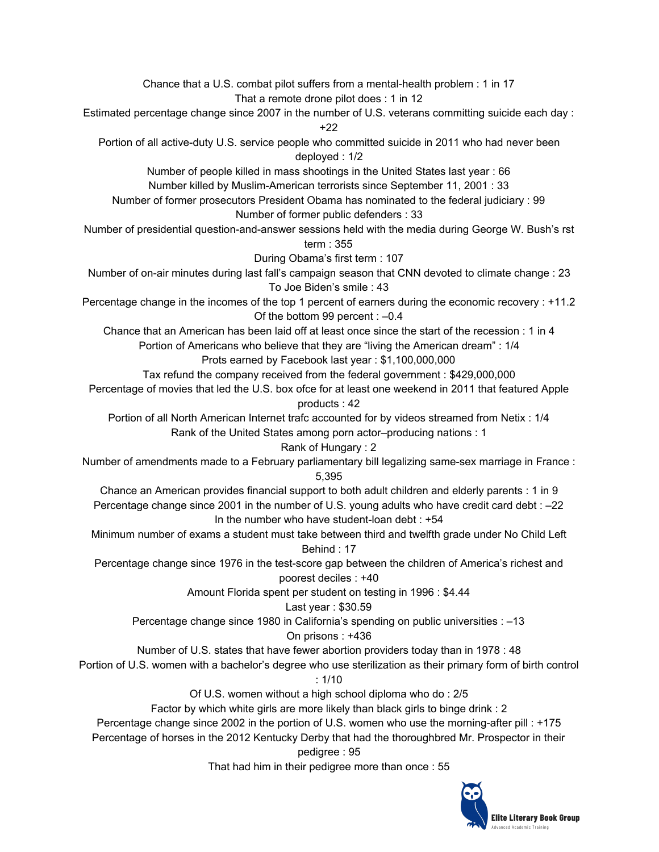Chance that a U.S. combat pilot suffers from a mental-health problem : 1 in 17 That a remote drone pilot does : 1 in 12 Estimated percentage change since 2007 in the number of U.S. veterans committing suicide each day : +22 Portion of all active-duty U.S. service people who committed suicide in 2011 who had never been deployed : 1/2 Number of people killed in mass shootings in the United States last year : 66 Number killed by Muslim-American terrorists since September 11, 2001 : 33 Number of former prosecutors President Obama has nominated to the federal judiciary : 99 Number of former public defenders : 33 Number of presidential question-and-answer sessions held with the media during George W. Bush's rst term : 355 During Obama's first term : 107 Number of on-air minutes during last fall's campaign season that CNN devoted to climate change : 23 To Joe Biden's smile : 43 Percentage change in the incomes of the top 1 percent of earners during the economic recovery : +11.2 Of the bottom 99 percent : –0.4 Chance that an American has been laid off at least once since the start of the recession : 1 in 4 Portion of Americans who believe that they are "living the American dream" : 1/4 Prots earned by Facebook last year : \$1,100,000,000 Tax refund the company received from the federal government : \$429,000,000 Percentage of movies that led the U.S. box ofce for at least one weekend in 2011 that featured Apple products : 42 Portion of all North American Internet trafc accounted for by videos streamed from Netix : 1/4 Rank of the United States among porn actor–producing nations : 1 Rank of Hungary : 2 Number of amendments made to a February parliamentary bill legalizing same-sex marriage in France : 5,395 Chance an American provides financial support to both adult children and elderly parents : 1 in 9 Percentage change since 2001 in the number of U.S. young adults who have credit card debt : –22 In the number who have student-loan debt : +54 Minimum number of exams a student must take between third and twelfth grade under No Child Left Behind : 17 Percentage change since 1976 in the test-score gap between the children of America's richest and poorest deciles : +40 Amount Florida spent per student on testing in 1996 : \$4.44 Last year : \$30.59 Percentage change since 1980 in California's spending on public universities : –13 On prisons : +436 Number of U.S. states that have fewer abortion providers today than in 1978 : 48 Portion of U.S. women with a bachelor's degree who use sterilization as their primary form of birth control  $: 1/10$ Of U.S. women without a high school diploma who do : 2/5 Factor by which white girls are more likely than black girls to binge drink : 2 Percentage change since 2002 in the portion of U.S. women who use the morning-after pill : +175 Percentage of horses in the 2012 Kentucky Derby that had the thoroughbred Mr. Prospector in their pedigree : 95

That had him in their pedigree more than once : 55

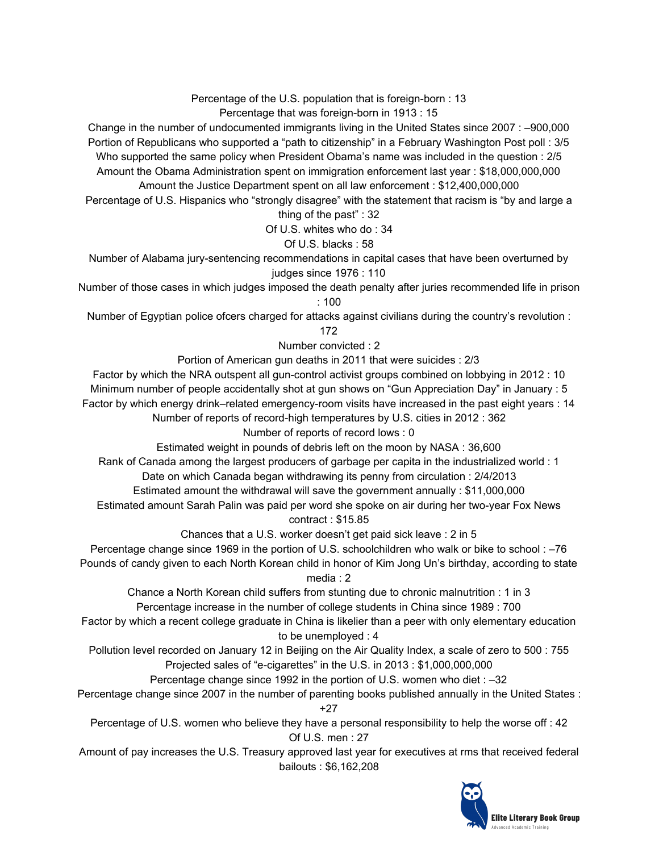Percentage of the U.S. population that is foreign-born : 13 Percentage that was foreign-born in 1913 : 15

Change in the number of undocumented immigrants living in the United States since 2007 : –900,000 Portion of Republicans who supported a "path to citizenship" in a February Washington Post poll : 3/5 Who supported the same policy when President Obama's name was included in the question : 2/5 Amount the Obama Administration spent on immigration enforcement last year : \$18,000,000,000 Amount the Justice Department spent on all law enforcement : \$12,400,000,000

Percentage of U.S. Hispanics who "strongly disagree" with the statement that racism is "by and large a thing of the past" : 32

Of U.S. whites who do : 34

#### Of U.S. blacks : 58

Number of Alabama jury-sentencing recommendations in capital cases that have been overturned by judges since 1976 : 110

Number of those cases in which judges imposed the death penalty after juries recommended life in prison : 100

Number of Egyptian police ofcers charged for attacks against civilians during the country's revolution :

#### 172

Number convicted : 2

Portion of American gun deaths in 2011 that were suicides : 2/3

Factor by which the NRA outspent all gun-control activist groups combined on lobbying in 2012 : 10

Minimum number of people accidentally shot at gun shows on "Gun Appreciation Day" in January : 5

Factor by which energy drink–related emergency-room visits have increased in the past eight years : 14

Number of reports of record-high temperatures by U.S. cities in 2012 : 362

#### Number of reports of record lows : 0

Estimated weight in pounds of debris left on the moon by NASA : 36,600

Rank of Canada among the largest producers of garbage per capita in the industrialized world : 1 Date on which Canada began withdrawing its penny from circulation : 2/4/2013

Estimated amount the withdrawal will save the government annually : \$11,000,000

Estimated amount Sarah Palin was paid per word she spoke on air during her two-year Fox News contract : \$15.85

Chances that a U.S. worker doesn't get paid sick leave : 2 in 5

Percentage change since 1969 in the portion of U.S. schoolchildren who walk or bike to school : –76 Pounds of candy given to each North Korean child in honor of Kim Jong Un's birthday, according to state

#### media : 2

Chance a North Korean child suffers from stunting due to chronic malnutrition : 1 in 3 Percentage increase in the number of college students in China since 1989 : 700

Factor by which a recent college graduate in China is likelier than a peer with only elementary education to be unemployed : 4

Pollution level recorded on January 12 in Beijing on the Air Quality Index, a scale of zero to 500 : 755 Projected sales of "e-cigarettes" in the U.S. in 2013 : \$1,000,000,000

Percentage change since 1992 in the portion of U.S. women who diet : –32

Percentage change since 2007 in the number of parenting books published annually in the United States : +27

Percentage of U.S. women who believe they have a personal responsibility to help the worse off : 42 Of U.S. men : 27

Amount of pay increases the U.S. Treasury approved last year for executives at rms that received federal bailouts : \$6,162,208

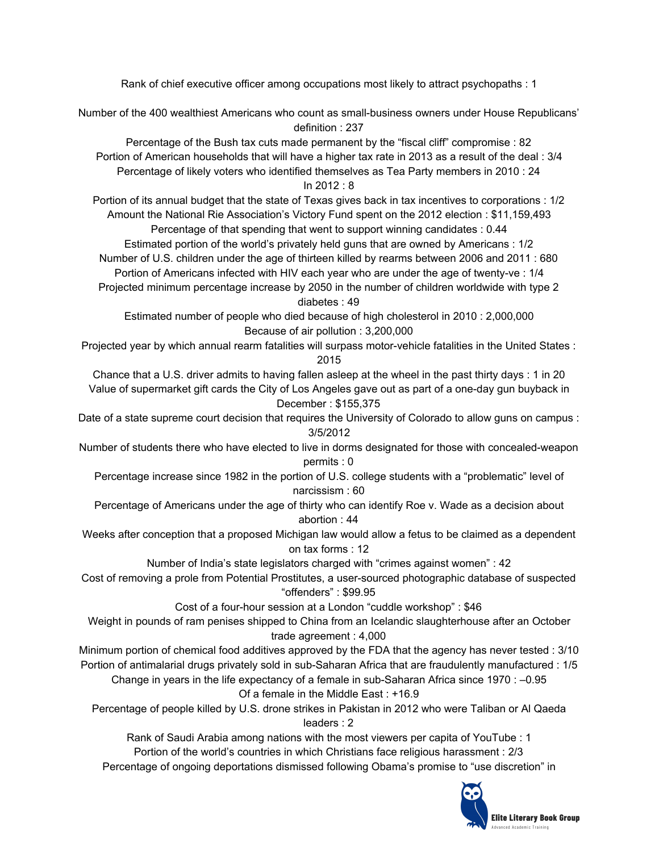Rank of chief executive officer among occupations most likely to attract psychopaths : 1

Number of the 400 wealthiest Americans who count as small-business owners under House Republicans' definition : 237

Percentage of the Bush tax cuts made permanent by the "fiscal cliff" compromise : 82 Portion of American households that will have a higher tax rate in 2013 as a result of the deal : 3/4 Percentage of likely voters who identified themselves as Tea Party members in 2010 : 24 In 2012 : 8

Portion of its annual budget that the state of Texas gives back in tax incentives to corporations : 1/2 Amount the National Rie Association's Victory Fund spent on the 2012 election : \$11,159,493

Percentage of that spending that went to support winning candidates : 0.44 Estimated portion of the world's privately held guns that are owned by Americans : 1/2 Number of U.S. children under the age of thirteen killed by rearms between 2006 and 2011 : 680 Portion of Americans infected with HIV each year who are under the age of twenty-ve : 1/4

Projected minimum percentage increase by 2050 in the number of children worldwide with type 2 diabetes : 49

Estimated number of people who died because of high cholesterol in 2010 : 2,000,000 Because of air pollution : 3,200,000

Projected year by which annual rearm fatalities will surpass motor-vehicle fatalities in the United States : 2015

Chance that a U.S. driver admits to having fallen asleep at the wheel in the past thirty days : 1 in 20 Value of supermarket gift cards the City of Los Angeles gave out as part of a one-day gun buyback in December : \$155,375

Date of a state supreme court decision that requires the University of Colorado to allow guns on campus : 3/5/2012

Number of students there who have elected to live in dorms designated for those with concealed-weapon permits : 0

Percentage increase since 1982 in the portion of U.S. college students with a "problematic" level of narcissism : 60

Percentage of Americans under the age of thirty who can identify Roe v. Wade as a decision about abortion : 44

Weeks after conception that a proposed Michigan law would allow a fetus to be claimed as a dependent on tax forms : 12

Number of India's state legislators charged with "crimes against women" : 42

Cost of removing a prole from Potential Prostitutes, a user-sourced photographic database of suspected "offenders" : \$99.95

Cost of a four-hour session at a London "cuddle workshop" : \$46

Weight in pounds of ram penises shipped to China from an Icelandic slaughterhouse after an October trade agreement : 4,000

Minimum portion of chemical food additives approved by the FDA that the agency has never tested : 3/10 Portion of antimalarial drugs privately sold in sub-Saharan Africa that are fraudulently manufactured : 1/5

Change in years in the life expectancy of a female in sub-Saharan Africa since 1970 : –0.95 Of a female in the Middle East : +16.9

Percentage of people killed by U.S. drone strikes in Pakistan in 2012 who were Taliban or Al Qaeda leaders : 2

Rank of Saudi Arabia among nations with the most viewers per capita of YouTube : 1 Portion of the world's countries in which Christians face religious harassment : 2/3 Percentage of ongoing deportations dismissed following Obama's promise to "use discretion" in

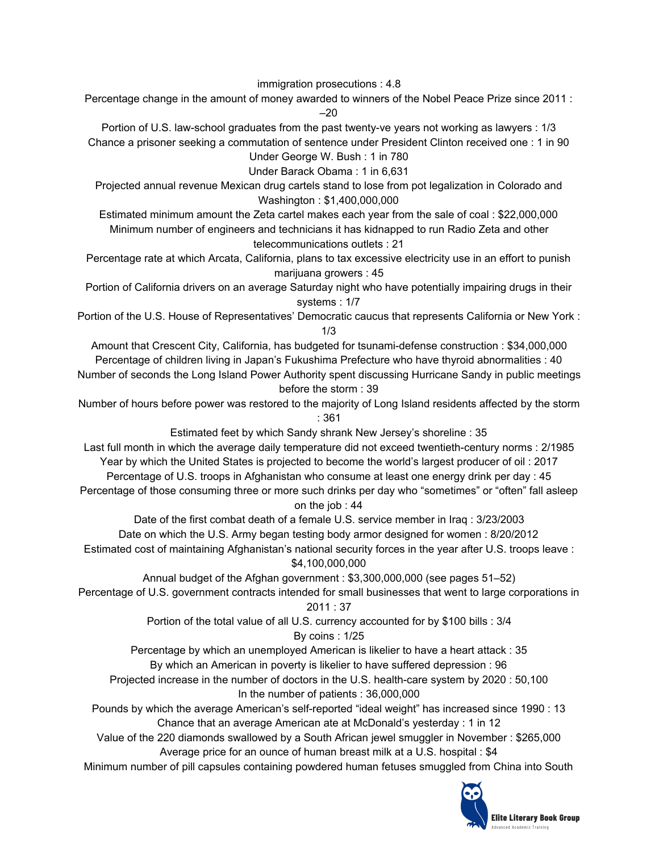immigration prosecutions : 4.8

Percentage change in the amount of money awarded to winners of the Nobel Peace Prize since 2011 : –20

Portion of U.S. law-school graduates from the past twenty-ve years not working as lawyers : 1/3 Chance a prisoner seeking a commutation of sentence under President Clinton received one : 1 in 90 Under George W. Bush : 1 in 780

Under Barack Obama : 1 in 6,631

Projected annual revenue Mexican drug cartels stand to lose from pot legalization in Colorado and Washington : \$1,400,000,000

Estimated minimum amount the Zeta cartel makes each year from the sale of coal : \$22,000,000 Minimum number of engineers and technicians it has kidnapped to run Radio Zeta and other telecommunications outlets : 21

Percentage rate at which Arcata, California, plans to tax excessive electricity use in an effort to punish marijuana growers : 45

Portion of California drivers on an average Saturday night who have potentially impairing drugs in their systems : 1/7

Portion of the U.S. House of Representatives' Democratic caucus that represents California or New York : 1/3

Amount that Crescent City, California, has budgeted for tsunami-defense construction : \$34,000,000 Percentage of children living in Japan's Fukushima Prefecture who have thyroid abnormalities : 40

Number of seconds the Long Island Power Authority spent discussing Hurricane Sandy in public meetings before the storm : 39

Number of hours before power was restored to the majority of Long Island residents affected by the storm : 361

Estimated feet by which Sandy shrank New Jersey's shoreline : 35

Last full month in which the average daily temperature did not exceed twentieth-century norms : 2/1985 Year by which the United States is projected to become the world's largest producer of oil : 2017 Percentage of U.S. troops in Afghanistan who consume at least one energy drink per day : 45 Percentage of those consuming three or more such drinks per day who "sometimes" or "often" fall asleep on the job : 44

Date of the first combat death of a female U.S. service member in Iraq : 3/23/2003 Date on which the U.S. Army began testing body armor designed for women : 8/20/2012 Estimated cost of maintaining Afghanistan's national security forces in the year after U.S. troops leave : \$4,100,000,000

Annual budget of the Afghan government : \$3,300,000,000 (see pages 51–52)

Percentage of U.S. government contracts intended for small businesses that went to large corporations in 2011 : 37

> Portion of the total value of all U.S. currency accounted for by \$100 bills : 3/4 By coins : 1/25

Percentage by which an unemployed American is likelier to have a heart attack : 35

By which an American in poverty is likelier to have suffered depression : 96

Projected increase in the number of doctors in the U.S. health-care system by 2020 : 50,100 In the number of patients : 36,000,000

Pounds by which the average American's self-reported "ideal weight" has increased since 1990 : 13 Chance that an average American ate at McDonald's yesterday : 1 in 12

Value of the 220 diamonds swallowed by a South African jewel smuggler in November : \$265,000 Average price for an ounce of human breast milk at a U.S. hospital : \$4

Minimum number of pill capsules containing powdered human fetuses smuggled from China into South

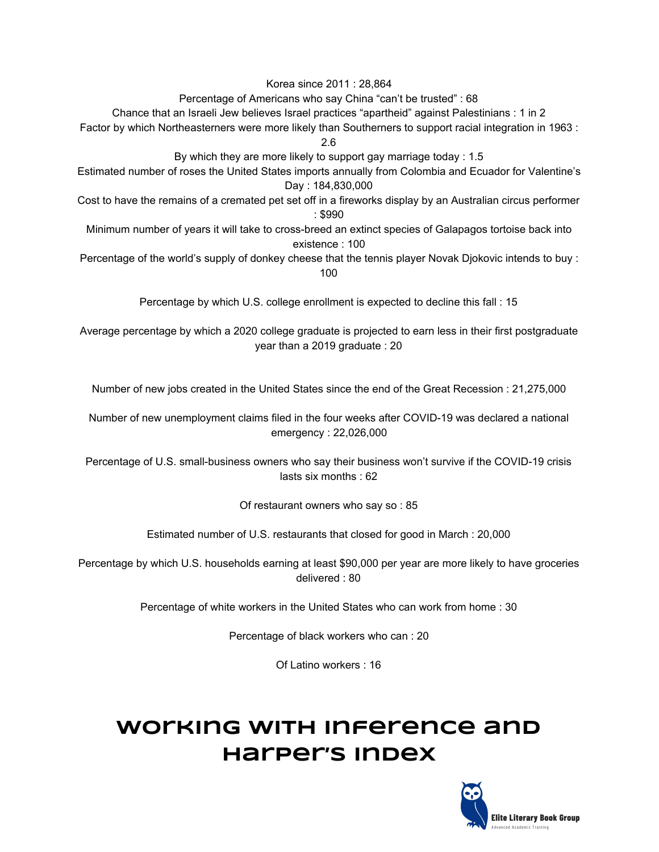Korea since 2011 : 28,864

Percentage of Americans who say China "can't be trusted" : 68

Chance that an Israeli Jew believes Israel practices "apartheid" against Palestinians : 1 in 2

Factor by which Northeasterners were more likely than Southerners to support racial integration in 1963 :

2.6

By which they are more likely to support gay marriage today : 1.5

Estimated number of roses the United States imports annually from Colombia and Ecuador for Valentine's Day : 184,830,000

Cost to have the remains of a cremated pet set off in a fireworks display by an Australian circus performer : \$990

Minimum number of years it will take to cross-breed an extinct species of Galapagos tortoise back into existence : 100

Percentage of the world's supply of donkey cheese that the tennis player Novak Djokovic intends to buy : 100

Percentage by which U.S. college enrollment is expected to decline this fall : 15

Average percentage by which a 2020 college graduate is projected to earn less in their first postgraduate year than a 2019 graduate : 20

Number of new jobs created in the United States since the end of the Great Recession : 21,275,000

Number of new unemployment claims filed in the four weeks after COVID-19 was declared a national emergency : 22,026,000

Percentage of U.S. small-business owners who say their business won't survive if the COVID-19 crisis lasts six months : 62

Of restaurant owners who say so : 85

Estimated number of U.S. restaurants that closed for good in March : 20,000

Percentage by which U.S. households earning at least \$90,000 per year are more likely to have groceries delivered : 80

Percentage of white workers in the United States who can work from home : 30

Percentage of black workers who can : 20

Of Latino workers : 16

# **Working with Inference and Harper's Index**